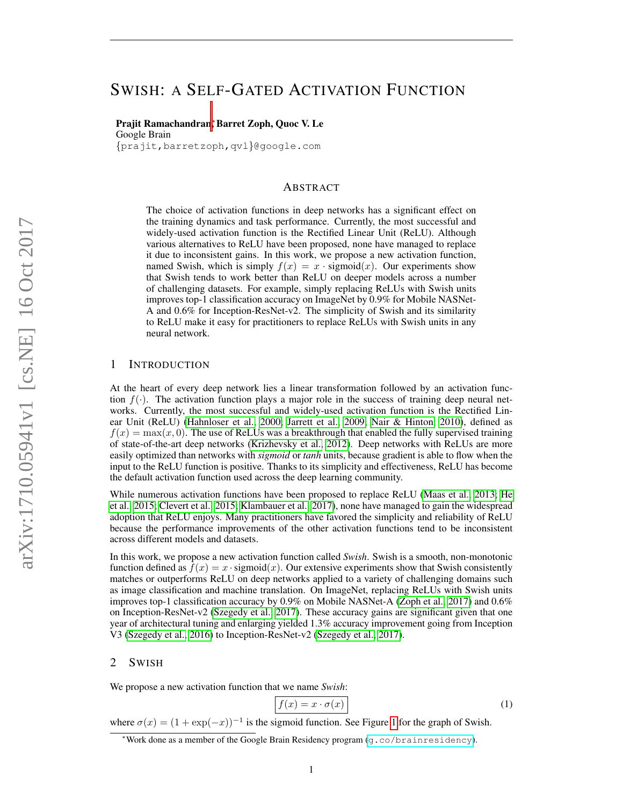# SWISH: A SELF-GATED ACTIVATION FUNCTION

## Prajit Ramachandran<sup>∗</sup> , Barret Zoph, Quoc V. Le Google Brain {prajit,barretzoph,qvl}@google.com

ABSTRACT

The choice of activation functions in deep networks has a significant effect on the training dynamics and task performance. Currently, the most successful and widely-used activation function is the Rectified Linear Unit (ReLU). Although various alternatives to ReLU have been proposed, none have managed to replace it due to inconsistent gains. In this work, we propose a new activation function, named Swish, which is simply  $f(x) = x \cdot$  sigmoid $(x)$ . Our experiments show that Swish tends to work better than ReLU on deeper models across a number of challenging datasets. For example, simply replacing ReLUs with Swish units improves top-1 classification accuracy on ImageNet by 0.9% for Mobile NASNet-A and 0.6% for Inception-ResNet-v2. The simplicity of Swish and its similarity to ReLU make it easy for practitioners to replace ReLUs with Swish units in any neural network.

# 1 INTRODUCTION

At the heart of every deep network lies a linear transformation followed by an activation function  $f(\cdot)$ . The activation function plays a major role in the success of training deep neural networks. Currently, the most successful and widely-used activation function is the Rectified Linear Unit (ReLU) [\(Hahnloser et al., 2000;](#page-10-0) [Jarrett et al., 2009;](#page-10-1) [Nair & Hinton, 2010\)](#page-10-2), defined as  $f(x) = \max(x, 0)$ . The use of ReLUs was a breakthrough that enabled the fully supervised training of state-of-the-art deep networks [\(Krizhevsky et al., 2012\)](#page-10-3). Deep networks with ReLUs are more easily optimized than networks with *sigmoid* or *tanh* units, because gradient is able to flow when the input to the ReLU function is positive. Thanks to its simplicity and effectiveness, ReLU has become the default activation function used across the deep learning community.

While numerous activation functions have been proposed to replace ReLU [\(Maas et al., 2013;](#page-10-4) [He](#page-10-5) [et al., 2015;](#page-10-5) [Clevert et al., 2015;](#page-9-0) [Klambauer et al., 2017\)](#page-10-6), none have managed to gain the widespread adoption that ReLU enjoys. Many practitioners have favored the simplicity and reliability of ReLU because the performance improvements of the other activation functions tend to be inconsistent across different models and datasets.

In this work, we propose a new activation function called *Swish*. Swish is a smooth, non-monotonic function defined as  $f(x) = x \cdot$  sigmoid $(x)$ . Our extensive experiments show that Swish consistently matches or outperforms ReLU on deep networks applied to a variety of challenging domains such as image classification and machine translation. On ImageNet, replacing ReLUs with Swish units improves top-1 classification accuracy by 0.9% on Mobile NASNet-A [\(Zoph et al., 2017\)](#page-11-0) and 0.6% on Inception-ResNet-v2 [\(Szegedy et al., 2017\)](#page-11-1). These accuracy gains are significant given that one year of architectural tuning and enlarging yielded 1.3% accuracy improvement going from Inception V3 [\(Szegedy et al., 2016\)](#page-11-2) to Inception-ResNet-v2 [\(Szegedy et al., 2017\)](#page-11-1).

## 2 SWISH

We propose a new activation function that we name *Swish*:

$$
f(x) = x \cdot \sigma(x) \tag{1}
$$

where  $\sigma(x) = (1 + \exp(-x))^{-1}$  is the sigmoid function. See Figure [1](#page-1-0) for the graph of Swish.

<sup>∗</sup>Work done as a member of the Google Brain Residency program (<g.co/brainresidency>).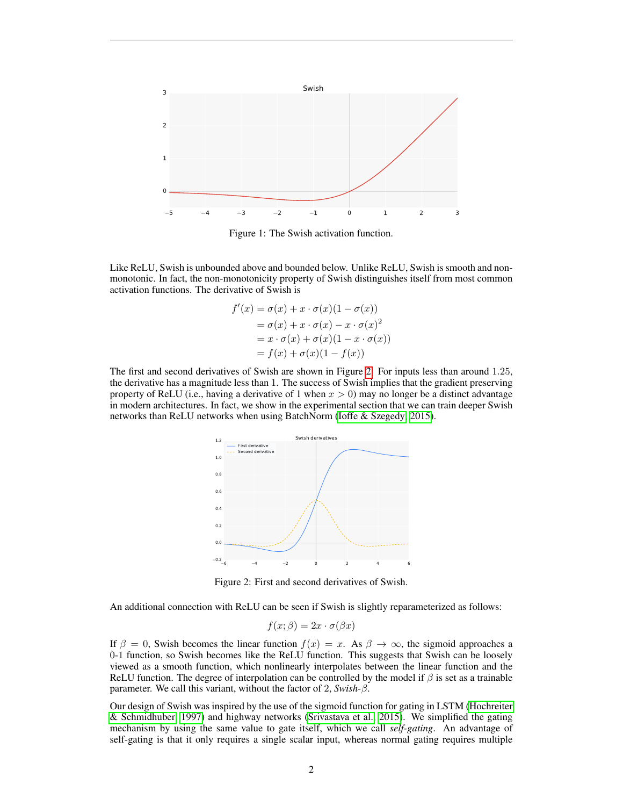<span id="page-1-0"></span>

Figure 1: The Swish activation function.

Like ReLU, Swish is unbounded above and bounded below. Unlike ReLU, Swish is smooth and nonmonotonic. In fact, the non-monotonicity property of Swish distinguishes itself from most common activation functions. The derivative of Swish is

$$
f'(x) = \sigma(x) + x \cdot \sigma(x)(1 - \sigma(x))
$$
  
=  $\sigma(x) + x \cdot \sigma(x) - x \cdot \sigma(x)^2$   
=  $x \cdot \sigma(x) + \sigma(x)(1 - x \cdot \sigma(x))$   
=  $f(x) + \sigma(x)(1 - f(x))$ 

<span id="page-1-1"></span>The first and second derivatives of Swish are shown in Figure [2.](#page-1-1) For inputs less than around 1.25, the derivative has a magnitude less than 1. The success of Swish implies that the gradient preserving property of ReLU (i.e., having a derivative of 1 when  $x > 0$ ) may no longer be a distinct advantage in modern architectures. In fact, we show in the experimental section that we can train deeper Swish networks than ReLU networks when using BatchNorm [\(Ioffe & Szegedy, 2015\)](#page-10-7).



Figure 2: First and second derivatives of Swish.

An additional connection with ReLU can be seen if Swish is slightly reparameterized as follows:

$$
f(x; \beta) = 2x \cdot \sigma(\beta x)
$$

If  $\beta = 0$ , Swish becomes the linear function  $f(x) = x$ . As  $\beta \to \infty$ , the sigmoid approaches a 0-1 function, so Swish becomes like the ReLU function. This suggests that Swish can be loosely viewed as a smooth function, which nonlinearly interpolates between the linear function and the ReLU function. The degree of interpolation can be controlled by the model if  $\beta$  is set as a trainable parameter. We call this variant, without the factor of 2, *Swish-*β.

Our design of Swish was inspired by the use of the sigmoid function for gating in LSTM [\(Hochreiter](#page-10-8) [& Schmidhuber, 1997\)](#page-10-8) and highway networks [\(Srivastava et al., 2015\)](#page-11-3). We simplified the gating mechanism by using the same value to gate itself, which we call *self-gating*. An advantage of self-gating is that it only requires a single scalar input, whereas normal gating requires multiple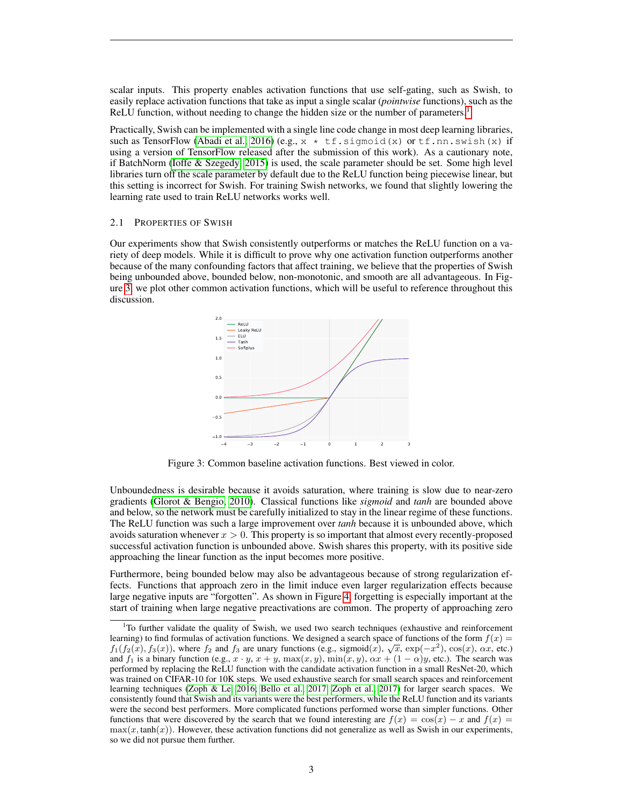scalar inputs. This property enables activation functions that use self-gating, such as Swish, to easily replace activation functions that take as input a single scalar (*pointwise* functions), such as the ReLU function, without needing to change the hidden size or the number of parameters.<sup>[1](#page-2-0)</sup>

Practically, Swish can be implemented with a single line code change in most deep learning libraries, such as TensorFlow [\(Abadi et al., 2016\)](#page-9-1) (e.g.,  $x * tf.sigmoid(x)$  or  $tf.nn.s wish(x)$  if using a version of TensorFlow released after the submission of this work). As a cautionary note, if BatchNorm [\(Ioffe & Szegedy, 2015\)](#page-10-7) is used, the scale parameter should be set. Some high level libraries turn off the scale parameter by default due to the ReLU function being piecewise linear, but this setting is incorrect for Swish. For training Swish networks, we found that slightly lowering the learning rate used to train ReLU networks works well.

#### 2.1 PROPERTIES OF SWISH

<span id="page-2-1"></span>Our experiments show that Swish consistently outperforms or matches the ReLU function on a variety of deep models. While it is difficult to prove why one activation function outperforms another because of the many confounding factors that affect training, we believe that the properties of Swish being unbounded above, bounded below, non-monotonic, and smooth are all advantageous. In Figure [3,](#page-2-1) we plot other common activation functions, which will be useful to reference throughout this discussion.



Figure 3: Common baseline activation functions. Best viewed in color.

Unboundedness is desirable because it avoids saturation, where training is slow due to near-zero gradients [\(Glorot & Bengio, 2010\)](#page-9-2). Classical functions like *sigmoid* and *tanh* are bounded above and below, so the network must be carefully initialized to stay in the linear regime of these functions. The ReLU function was such a large improvement over *tanh* because it is unbounded above, which avoids saturation whenever  $x > 0$ . This property is so important that almost every recently-proposed successful activation function is unbounded above. Swish shares this property, with its positive side approaching the linear function as the input becomes more positive.

Furthermore, being bounded below may also be advantageous because of strong regularization effects. Functions that approach zero in the limit induce even larger regularization effects because large negative inputs are "forgotten". As shown in Figure [4,](#page-3-0) forgetting is especially important at the start of training when large negative preactivations are common. The property of approaching zero

<span id="page-2-0"></span><sup>&</sup>lt;sup>1</sup>To further validate the quality of Swish, we used two search techniques (exhaustive and reinforcement learning) to find formulas of activation functions. We designed a search space of functions of the form  $f(x) =$  $f_1(f_2(x), f_3(x))$ , where  $f_2$  and  $f_3$  are unary functions (e.g., sigmoid(x),  $\sqrt{x}$ ,  $\exp(-x^2)$ ,  $\cos(x)$ ,  $\alpha x$ , etc.) and  $f_1$  is a binary function (e.g.,  $x \cdot y$ ,  $x + y$ ,  $\max(x, y)$ ,  $\min(x, y)$ ,  $\alpha x + (1 - \alpha)y$ , etc.). The search was performed by replacing the ReLU function with the candidate activation function in a small ResNet-20, which was trained on CIFAR-10 for 10K steps. We used exhaustive search for small search spaces and reinforcement learning techniques [\(Zoph & Le, 2016;](#page-11-4) [Bello et al., 2017;](#page-9-3) [Zoph et al., 2017\)](#page-11-0) for larger search spaces. We consistently found that Swish and its variants were the best performers, while the ReLU function and its variants were the second best performers. More complicated functions performed worse than simpler functions. Other functions that were discovered by the search that we found interesting are  $f(x) = \cos(x) - x$  and  $f(x) =$  $max(x, tanh(x))$ . However, these activation functions did not generalize as well as Swish in our experiments, so we did not pursue them further.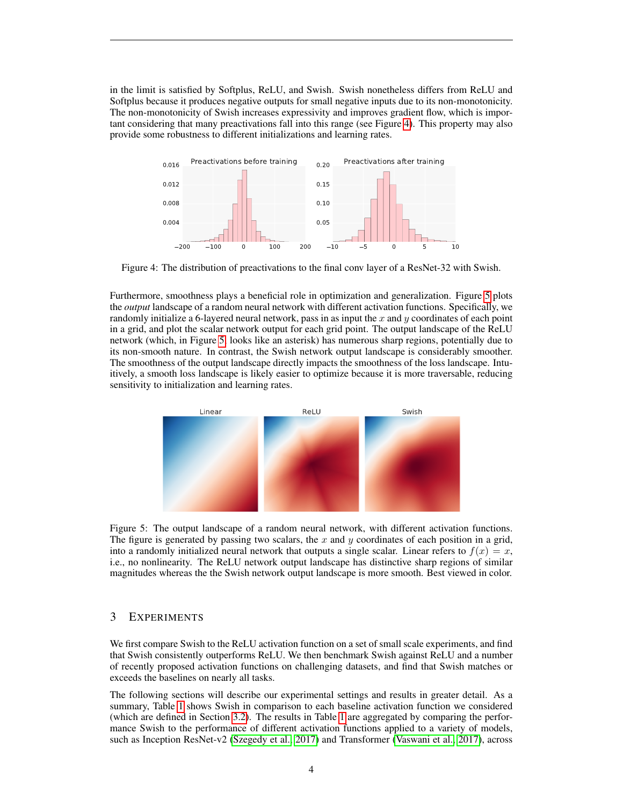in the limit is satisfied by Softplus, ReLU, and Swish. Swish nonetheless differs from ReLU and Softplus because it produces negative outputs for small negative inputs due to its non-monotonicity. The non-monotonicity of Swish increases expressivity and improves gradient flow, which is important considering that many preactivations fall into this range (see Figure [4\)](#page-3-0). This property may also provide some robustness to different initializations and learning rates.

<span id="page-3-0"></span>

Figure 4: The distribution of preactivations to the final conv layer of a ResNet-32 with Swish.

Furthermore, smoothness plays a beneficial role in optimization and generalization. Figure [5](#page-3-1) plots the *output* landscape of a random neural network with different activation functions. Specifically, we randomly initialize a 6-layered neural network, pass in as input the  $x$  and  $y$  coordinates of each point in a grid, and plot the scalar network output for each grid point. The output landscape of the ReLU network (which, in Figure [5,](#page-3-1) looks like an asterisk) has numerous sharp regions, potentially due to its non-smooth nature. In contrast, the Swish network output landscape is considerably smoother. The smoothness of the output landscape directly impacts the smoothness of the loss landscape. Intuitively, a smooth loss landscape is likely easier to optimize because it is more traversable, reducing sensitivity to initialization and learning rates.

<span id="page-3-1"></span>

Figure 5: The output landscape of a random neural network, with different activation functions. The figure is generated by passing two scalars, the  $x$  and  $y$  coordinates of each position in a grid, into a randomly initialized neural network that outputs a single scalar. Linear refers to  $f(x) = x$ , i.e., no nonlinearity. The ReLU network output landscape has distinctive sharp regions of similar magnitudes whereas the the Swish network output landscape is more smooth. Best viewed in color.

## 3 EXPERIMENTS

We first compare Swish to the ReLU activation function on a set of small scale experiments, and find that Swish consistently outperforms ReLU. We then benchmark Swish against ReLU and a number of recently proposed activation functions on challenging datasets, and find that Swish matches or exceeds the baselines on nearly all tasks.

The following sections will describe our experimental settings and results in greater detail. As a summary, Table [1](#page-4-0) shows Swish in comparison to each baseline activation function we considered (which are defined in Section [3.2\)](#page-5-0). The results in Table [1](#page-4-0) are aggregated by comparing the performance Swish to the performance of different activation functions applied to a variety of models, such as Inception ResNet-v2 [\(Szegedy et al., 2017\)](#page-11-1) and Transformer [\(Vaswani et al., 2017\)](#page-11-5), across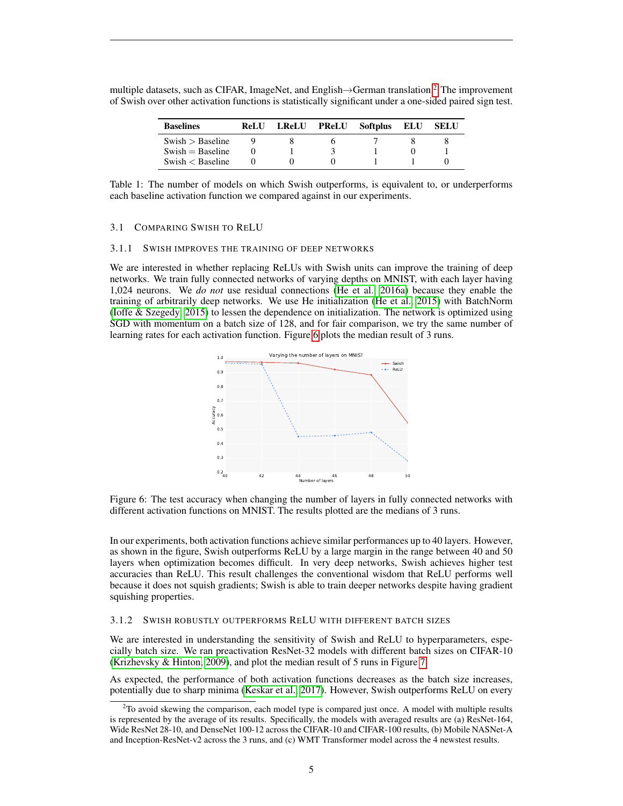| <b>Baselines</b>     | ReLU | LReLU PReLU Softplus | ELU | SELU |
|----------------------|------|----------------------|-----|------|
| Swish > Baseline     |      |                      |     |      |
| $Swish = Baseline$   |      |                      |     |      |
| Swish $\lt$ Baseline |      |                      |     |      |

<span id="page-4-0"></span>multiple datasets, such as CIFAR, ImageNet, and English $\rightarrow$ German translation.<sup>[2](#page-4-1)</sup> The improvement of Swish over other activation functions is statistically significant under a one-sided paired sign test.

Table 1: The number of models on which Swish outperforms, is equivalent to, or underperforms each baseline activation function we compared against in our experiments.

#### 3.1 COMPARING SWISH TO RELU

#### 3.1.1 SWISH IMPROVES THE TRAINING OF DEEP NETWORKS

<span id="page-4-2"></span>We are interested in whether replacing ReLUs with Swish units can improve the training of deep networks. We train fully connected networks of varying depths on MNIST, with each layer having 1,024 neurons. We *do not* use residual connections [\(He et al., 2016a\)](#page-10-9) because they enable the training of arbitrarily deep networks. We use He initialization [\(He et al., 2015\)](#page-10-5) with BatchNorm [\(Ioffe & Szegedy, 2015\)](#page-10-7) to lessen the dependence on initialization. The network is optimized using SGD with momentum on a batch size of 128, and for fair comparison, we try the same number of learning rates for each activation function. Figure [6](#page-4-2) plots the median result of 3 runs.



Figure 6: The test accuracy when changing the number of layers in fully connected networks with different activation functions on MNIST. The results plotted are the medians of 3 runs.

In our experiments, both activation functions achieve similar performances up to 40 layers. However, as shown in the figure, Swish outperforms ReLU by a large margin in the range between 40 and 50 layers when optimization becomes difficult. In very deep networks, Swish achieves higher test accuracies than ReLU. This result challenges the conventional wisdom that ReLU performs well because it does not squish gradients; Swish is able to train deeper networks despite having gradient squishing properties.

#### 3.1.2 SWISH ROBUSTLY OUTPERFORMS RELU WITH DIFFERENT BATCH SIZES

We are interested in understanding the sensitivity of Swish and ReLU to hyperparameters, especially batch size. We ran preactivation ResNet-32 models with different batch sizes on CIFAR-10 [\(Krizhevsky & Hinton, 2009\)](#page-10-10), and plot the median result of 5 runs in Figure [7.](#page-5-1)

As expected, the performance of both activation functions decreases as the batch size increases, potentially due to sharp minima [\(Keskar et al., 2017\)](#page-10-11). However, Swish outperforms ReLU on every

<span id="page-4-1"></span> $2^2$ To avoid skewing the comparison, each model type is compared just once. A model with multiple results is represented by the average of its results. Specifically, the models with averaged results are (a) ResNet-164, Wide ResNet 28-10, and DenseNet 100-12 across the CIFAR-10 and CIFAR-100 results, (b) Mobile NASNet-A and Inception-ResNet-v2 across the 3 runs, and (c) WMT Transformer model across the 4 newstest results.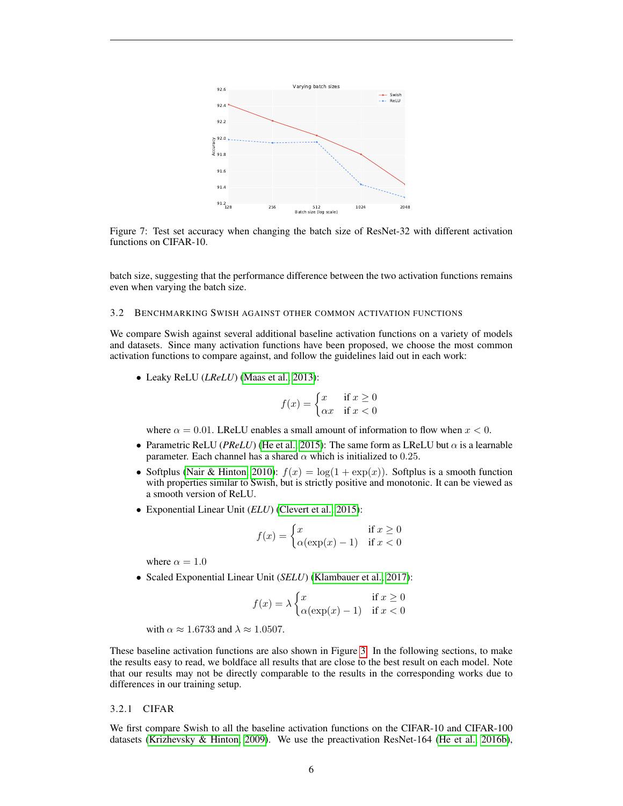<span id="page-5-1"></span>

Figure 7: Test set accuracy when changing the batch size of ResNet-32 with different activation functions on CIFAR-10.

batch size, suggesting that the performance difference between the two activation functions remains even when varying the batch size.

### <span id="page-5-0"></span>3.2 BENCHMARKING SWISH AGAINST OTHER COMMON ACTIVATION FUNCTIONS

We compare Swish against several additional baseline activation functions on a variety of models and datasets. Since many activation functions have been proposed, we choose the most common activation functions to compare against, and follow the guidelines laid out in each work:

• Leaky ReLU (*LReLU*) [\(Maas et al., 2013\)](#page-10-4):

$$
f(x) = \begin{cases} x & \text{if } x \ge 0\\ \alpha x & \text{if } x < 0 \end{cases}
$$

where  $\alpha = 0.01$ . LReLU enables a small amount of information to flow when  $x < 0$ .

- Parametric ReLU (*PReLU*) [\(He et al., 2015\)](#page-10-5): The same form as LReLU but  $\alpha$  is a learnable parameter. Each channel has a shared  $\alpha$  which is initialized to 0.25.
- Softplus [\(Nair & Hinton, 2010\)](#page-10-2):  $f(x) = \log(1 + \exp(x))$ . Softplus is a smooth function with properties similar to Swish, but is strictly positive and monotonic. It can be viewed as a smooth version of ReLU.
- Exponential Linear Unit (*ELU*) [\(Clevert et al., 2015\)](#page-9-0):

$$
f(x) = \begin{cases} x & \text{if } x \ge 0\\ \alpha(\exp(x) - 1) & \text{if } x < 0 \end{cases}
$$

where  $\alpha = 1.0$ 

• Scaled Exponential Linear Unit (*SELU*) [\(Klambauer et al., 2017\)](#page-10-6):

$$
f(x) = \lambda \begin{cases} x & \text{if } x \ge 0\\ \alpha(\exp(x) - 1) & \text{if } x < 0 \end{cases}
$$

with  $\alpha \approx 1.6733$  and  $\lambda \approx 1.0507$ .

These baseline activation functions are also shown in Figure [3.](#page-2-1) In the following sections, to make the results easy to read, we boldface all results that are close to the best result on each model. Note that our results may not be directly comparable to the results in the corresponding works due to differences in our training setup.

#### 3.2.1 CIFAR

We first compare Swish to all the baseline activation functions on the CIFAR-10 and CIFAR-100 datasets [\(Krizhevsky & Hinton, 2009\)](#page-10-10). We use the preactivation ResNet-164 [\(He et al., 2016b\)](#page-10-12),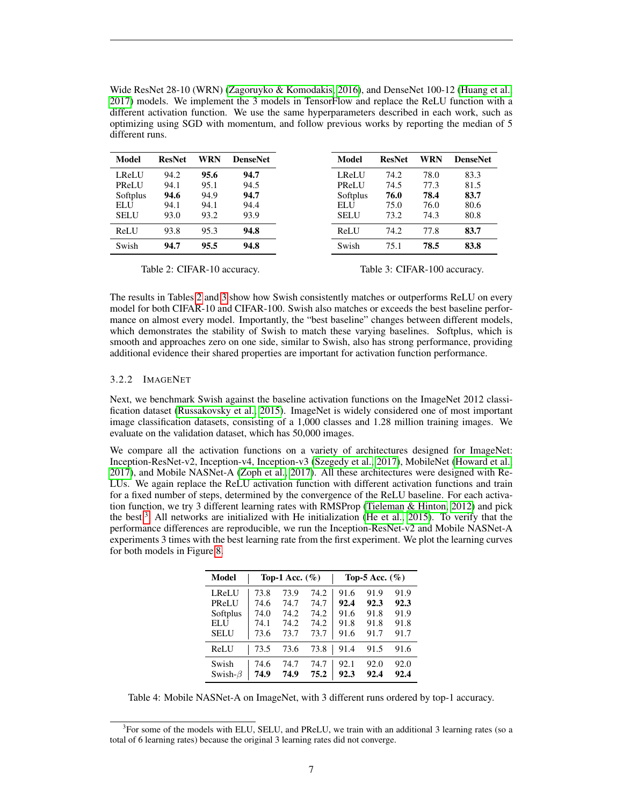Wide ResNet 28-10 (WRN) [\(Zagoruyko & Komodakis, 2016\)](#page-11-6), and DenseNet 100-12 [\(Huang et al.,](#page-10-13) [2017\)](#page-10-13) models. We implement the 3 models in TensorFlow and replace the ReLU function with a different activation function. We use the same hyperparameters described in each work, such as optimizing using SGD with momentum, and follow previous works by reporting the median of 5 different runs.

<span id="page-6-0"></span>

| <b>Model</b> | <b>ResNet</b> | WRN  | <b>DenseNet</b> | Model        | <b>ResNet</b> | WRN  | <b>DenseNet</b> |
|--------------|---------------|------|-----------------|--------------|---------------|------|-----------------|
| LReLU        | 94.2          | 95.6 | 94.7            | <b>LReLU</b> | 74.2          | 78.0 | 83.3            |
| PReLU        | 94.1          | 95.1 | 94.5            | PReLU        | 74.5          | 77.3 | 81.5            |
| Softplus     | 94.6          | 94.9 | 94.7            | Softplus     | 76.0          | 78.4 | 83.7            |
| <b>ELU</b>   | 94.1          | 94.1 | 94.4            | ELU          | 75.0          | 76.0 | 80.6            |
| <b>SELU</b>  | 93.0          | 93.2 | 93.9            | <b>SELU</b>  | 73.2          | 74.3 | 80.8            |
| ReLU         | 93.8          | 95.3 | 94.8            | ReLU         | 74.2          | 77.8 | 83.7            |
| Swish        | 94.7          | 95.5 | 94.8            | Swish        | 75.1          | 78.5 | 83.8            |

Table 2: CIFAR-10 accuracy.

The results in Tables [2](#page-6-0) and [3](#page-6-0) show how Swish consistently matches or outperforms ReLU on every model for both CIFAR-10 and CIFAR-100. Swish also matches or exceeds the best baseline performance on almost every model. Importantly, the "best baseline" changes between different models, which demonstrates the stability of Swish to match these varying baselines. Softplus, which is smooth and approaches zero on one side, similar to Swish, also has strong performance, providing additional evidence their shared properties are important for activation function performance.

## 3.2.2 IMAGENET

Next, we benchmark Swish against the baseline activation functions on the ImageNet 2012 classification dataset [\(Russakovsky et al., 2015\)](#page-10-14). ImageNet is widely considered one of most important image classification datasets, consisting of a 1,000 classes and 1.28 million training images. We evaluate on the validation dataset, which has 50,000 images.

We compare all the activation functions on a variety of architectures designed for ImageNet: Inception-ResNet-v2, Inception-v4, Inception-v3 [\(Szegedy et al., 2017\)](#page-11-1), MobileNet [\(Howard et al.,](#page-10-15) [2017\)](#page-10-15), and Mobile NASNet-A [\(Zoph et al., 2017\)](#page-11-0). All these architectures were designed with Re-LUs. We again replace the ReLU activation function with different activation functions and train for a fixed number of steps, determined by the convergence of the ReLU baseline. For each activation function, we try 3 different learning rates with RMSProp [\(Tieleman & Hinton, 2012\)](#page-11-7) and pick the best.<sup>[3](#page-6-1)</sup> All networks are initialized with He initialization [\(He et al., 2015\)](#page-10-5). To verify that the performance differences are reproducible, we run the Inception-ResNet-v2 and Mobile NASNet-A experiments 3 times with the best learning rate from the first experiment. We plot the learning curves for both models in Figure [8.](#page-8-0)

<span id="page-6-2"></span>

| Model          | Top-1 Acc. $(\% )$ |      |      | Top-5 Acc. $(\% )$ |      |      |
|----------------|--------------------|------|------|--------------------|------|------|
| <b>LReLU</b>   | 73.8               | 73.9 | 74.2 | 91.6               | 91.9 | 91.9 |
| PReLU          | 74.6               | 74.7 | 74.7 | 92.4               | 92.3 | 92.3 |
| Softplus       | 74.0               | 74.2 | 74.2 | 91.6               | 91.8 | 91.9 |
| ELU            | 74.1               | 74.2 | 74.2 | 91.8               | 91.8 | 91.8 |
| SELU           | 73.6               | 73.7 | 73.7 | 91.6               | 91.7 | 91.7 |
| ReLU           | 73.5               | 73.6 | 73.8 | 91.4               | 91.5 | 91.6 |
| Swish          | 74.6               | 74.7 | 74.7 | 92.1               | 92.0 | 92.0 |
| Swish- $\beta$ | 74.9               | 74.9 | 75.2 | 92.3               | 92.4 | 92.4 |

Table 4: Mobile NASNet-A on ImageNet, with 3 different runs ordered by top-1 accuracy.

Table 3: CIFAR-100 accuracy.

<span id="page-6-1"></span><sup>&</sup>lt;sup>3</sup>For some of the models with ELU, SELU, and PReLU, we train with an additional 3 learning rates (so a total of 6 learning rates) because the original 3 learning rates did not converge.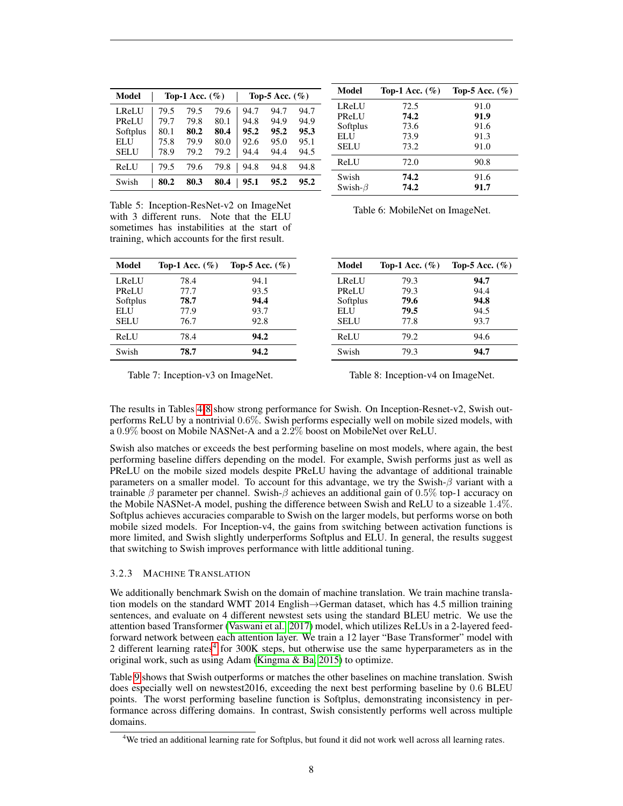| Model       |      | Top-1 Acc. $(\% )$ |      |      | Top-5 Acc. $(\% )$ |      |
|-------------|------|--------------------|------|------|--------------------|------|
| LReLU       | 79.5 | 79.5               | 79.6 | 94.7 | 94.7               | 94.7 |
| PReLU       | 79.7 | 79.8               | 80.1 | 94.8 | 94.9               | 94.9 |
| Softplus    | 80.1 | 80.2               | 80.4 | 95.2 | 95.2               | 95.3 |
| ELU         | 75.8 | 79.9               | 80.0 | 92.6 | 95.0               | 95.1 |
| <b>SELU</b> | 78.9 | 79.2               | 79.2 | 94.4 | 94.4               | 94.5 |
| ReLU        | 79.5 | 79.6               | 79.8 | 94.8 | 94.8               | 94.8 |
| Swish       | 80.2 | 80.3               | 80.4 | 95.1 | 95.2               | 95.2 |

Model Top-1 Acc.  $(\% )$  Top-5 Acc.  $(\% )$ LReLU 72.5 91.0<br>PReLU 74.2 91.9 PReLU Softplus 73.6 91.6 ELU 73.9 91.3 SELU 73.2 91.0 ReLU 72.0 90.8 Swish 74.2 91.6 Swish- $\beta$  74.2 91.7

Table 5: Inception-ResNet-v2 on ImageNet with 3 different runs. Note that the ELU sometimes has instabilities at the start of training, which accounts for the first result.

<span id="page-7-0"></span>

| Model        | Top-1 Acc. $(\% )$ | Top-5 Acc. $(\% )$ |
|--------------|--------------------|--------------------|
| <b>LReLU</b> | 78.4               | 94.1               |
| PReLU        | 77.7               | 93.5               |
| Softplus     | 78.7               | 94.4               |
| ELU          | 77.9               | 93.7               |
| SELU         | 76.7               | 92.8               |
| ReLU         | 78.4               | 94.2               |
| Swish        | 78.7               | 94.2               |

Table 6: MobileNet on ImageNet.

| Model        | Top-1 Acc. $(\% )$ | Top-5 Acc. $(\% )$ |
|--------------|--------------------|--------------------|
| <b>LReLU</b> | 79.3               | 94.7               |
| <b>PReLU</b> | 79.3               | 94.4               |
| Softplus     | 79.6               | 94.8               |
| ELU          | 79.5               | 94.5               |
| <b>SELU</b>  | 77.8               | 93.7               |
| ReLU         | 79.2               | 94.6               |
| Swish        | 79.3               | 94.7               |

Table 7: Inception-v3 on ImageNet.

Table 8: Inception-v4 on ImageNet.

The results in Tables [4](#page-6-2)[-8](#page-7-0) show strong performance for Swish. On Inception-Resnet-v2, Swish outperforms ReLU by a nontrivial 0.6%. Swish performs especially well on mobile sized models, with a 0.9% boost on Mobile NASNet-A and a 2.2% boost on MobileNet over ReLU.

Swish also matches or exceeds the best performing baseline on most models, where again, the best performing baseline differs depending on the model. For example, Swish performs just as well as PReLU on the mobile sized models despite PReLU having the advantage of additional trainable parameters on a smaller model. To account for this advantage, we try the Swish-β variant with a trainable  $\beta$  parameter per channel. Swish- $\beta$  achieves an additional gain of 0.5% top-1 accuracy on the Mobile NASNet-A model, pushing the difference between Swish and ReLU to a sizeable 1.4%. Softplus achieves accuracies comparable to Swish on the larger models, but performs worse on both mobile sized models. For Inception-v4, the gains from switching between activation functions is more limited, and Swish slightly underperforms Softplus and ELU. In general, the results suggest that switching to Swish improves performance with little additional tuning.

## 3.2.3 MACHINE TRANSLATION

We additionally benchmark Swish on the domain of machine translation. We train machine translation models on the standard WMT 2014 English→German dataset, which has 4.5 million training sentences, and evaluate on 4 different newstest sets using the standard BLEU metric. We use the attention based Transformer [\(Vaswani et al., 2017\)](#page-11-5) model, which utilizes ReLUs in a 2-layered feedforward network between each attention layer. We train a 12 layer "Base Transformer" model with 2 different learning rates<sup>[4](#page-7-1)</sup> for 300K steps, but otherwise use the same hyperparameters as in the original work, such as using Adam [\(Kingma & Ba, 2015\)](#page-10-16) to optimize.

Table [9](#page-8-1) shows that Swish outperforms or matches the other baselines on machine translation. Swish does especially well on newstest2016, exceeding the next best performing baseline by 0.6 BLEU points. The worst performing baseline function is Softplus, demonstrating inconsistency in performance across differing domains. In contrast, Swish consistently performs well across multiple domains.

<span id="page-7-1"></span><sup>4</sup>We tried an additional learning rate for Softplus, but found it did not work well across all learning rates.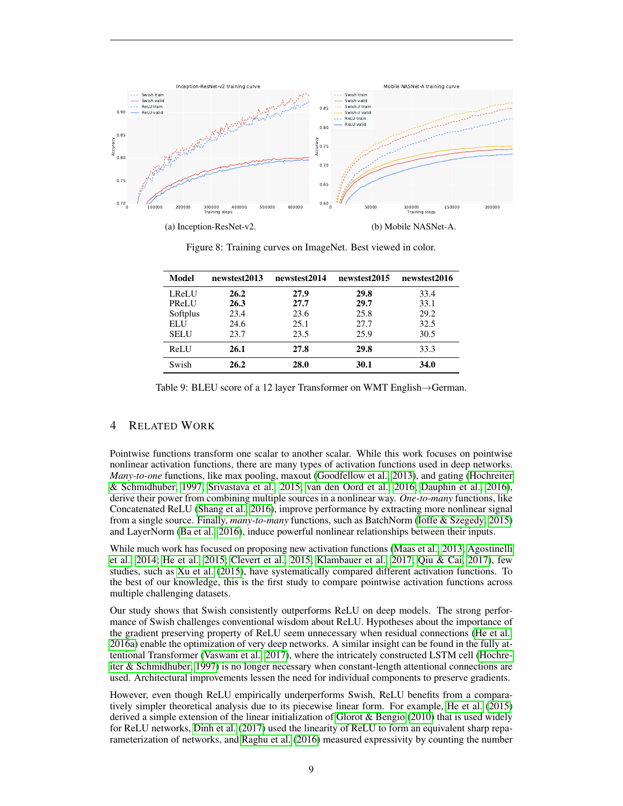<span id="page-8-0"></span>

<span id="page-8-1"></span>

| Model       | newstest2013 | newstest2014 | newstest2015 | newstest2016 |
|-------------|--------------|--------------|--------------|--------------|
| LReLU       | 26.2         | 27.9         | 29.8         | 33.4         |
| PReLU       | 26.3         | 27.7         | 29.7         | 33.1         |
| Softplus    | 23.4         | 23.6         | 25.8         | 29.2         |
| ELU         | 24.6         | 25.1         | 27.7         | 32.5         |
| <b>SELU</b> | 23.7         | 23.5         | 25.9         | 30.5         |
| ReLU        | 26.1         | 27.8         | 29.8         | 33.3         |
| Swish       | 26.2         | 28.0         | 30.1         | 34.0         |

Figure 8: Training curves on ImageNet. Best viewed in color.

Table 9: BLEU score of a 12 layer Transformer on WMT English→German.

# 4 RELATED WORK

Pointwise functions transform one scalar to another scalar. While this work focuses on pointwise nonlinear activation functions, there are many types of activation functions used in deep networks. *Many-to-one* functions, like max pooling, maxout [\(Goodfellow et al., 2013\)](#page-9-4), and gating [\(Hochreiter](#page-10-8) [& Schmidhuber, 1997;](#page-10-8) [Srivastava et al., 2015;](#page-11-3) [van den Oord et al., 2016;](#page-11-8) [Dauphin et al., 2016\)](#page-9-5), derive their power from combining multiple sources in a nonlinear way. *One-to-many* functions, like Concatenated ReLU [\(Shang et al., 2016\)](#page-10-17), improve performance by extracting more nonlinear signal from a single source. Finally, *many-to-many* functions, such as BatchNorm [\(Ioffe & Szegedy, 2015\)](#page-10-7) and LayerNorm [\(Ba et al., 2016\)](#page-9-6), induce powerful nonlinear relationships between their inputs.

While much work has focused on proposing new activation functions [\(Maas et al., 2013;](#page-10-4) [Agostinelli](#page-9-7) [et al., 2014;](#page-9-7) [He et al., 2015;](#page-10-5) [Clevert et al., 2015;](#page-9-0) [Klambauer et al., 2017;](#page-10-6) [Qiu & Cai, 2017\)](#page-10-18), few studies, such as [Xu et al.](#page-11-9) [\(2015\)](#page-11-9), have systematically compared different activation functions. To the best of our knowledge, this is the first study to compare pointwise activation functions across multiple challenging datasets.

Our study shows that Swish consistently outperforms ReLU on deep models. The strong performance of Swish challenges conventional wisdom about ReLU. Hypotheses about the importance of the gradient preserving property of ReLU seem unnecessary when residual connections [\(He et al.,](#page-10-9) [2016a\)](#page-10-9) enable the optimization of very deep networks. A similar insight can be found in the fully attentional Transformer [\(Vaswani et al., 2017\)](#page-11-5), where the intricately constructed LSTM cell [\(Hochre](#page-10-8)[iter & Schmidhuber, 1997\)](#page-10-8) is no longer necessary when constant-length attentional connections are used. Architectural improvements lessen the need for individual components to preserve gradients.

However, even though ReLU empirically underperforms Swish, ReLU benefits from a comparatively simpler theoretical analysis due to its piecewise linear form. For example, [He et al.](#page-10-5) [\(2015\)](#page-10-5) derived a simple extension of the linear initialization of [Glorot & Bengio](#page-9-2) [\(2010\)](#page-9-2) that is used widely for ReLU networks, [Dinh et al.](#page-9-8) [\(2017\)](#page-9-8) used the linearity of ReLU to form an equivalent sharp reparameterization of networks, and [Raghu et al.](#page-10-19) [\(2016\)](#page-10-19) measured expressivity by counting the number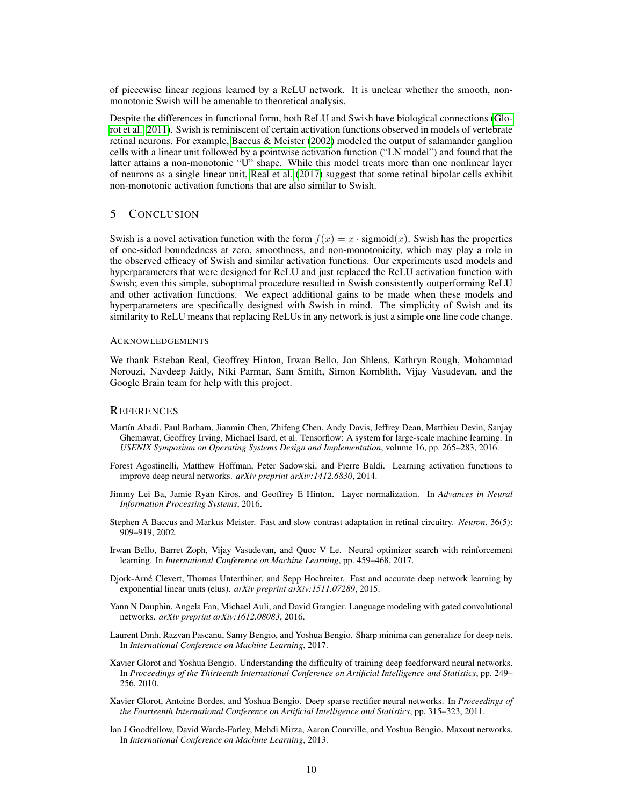of piecewise linear regions learned by a ReLU network. It is unclear whether the smooth, nonmonotonic Swish will be amenable to theoretical analysis.

Despite the differences in functional form, both ReLU and Swish have biological connections [\(Glo](#page-9-9)[rot et al., 2011\)](#page-9-9). Swish is reminiscent of certain activation functions observed in models of vertebrate retinal neurons. For example, [Baccus & Meister](#page-9-10) [\(2002\)](#page-9-10) modeled the output of salamander ganglion cells with a linear unit followed by a pointwise activation function ("LN model") and found that the latter attains a non-monotonic "U" shape. While this model treats more than one nonlinear layer of neurons as a single linear unit, [Real et al.](#page-10-20) [\(2017\)](#page-10-20) suggest that some retinal bipolar cells exhibit non-monotonic activation functions that are also similar to Swish.

## 5 CONCLUSION

Swish is a novel activation function with the form  $f(x) = x \cdot$  sigmoid $(x)$ . Swish has the properties of one-sided boundedness at zero, smoothness, and non-monotonicity, which may play a role in the observed efficacy of Swish and similar activation functions. Our experiments used models and hyperparameters that were designed for ReLU and just replaced the ReLU activation function with Swish; even this simple, suboptimal procedure resulted in Swish consistently outperforming ReLU and other activation functions. We expect additional gains to be made when these models and hyperparameters are specifically designed with Swish in mind. The simplicity of Swish and its similarity to ReLU means that replacing ReLUs in any network is just a simple one line code change.

## ACKNOWLEDGEMENTS

We thank Esteban Real, Geoffrey Hinton, Irwan Bello, Jon Shlens, Kathryn Rough, Mohammad Norouzi, Navdeep Jaitly, Niki Parmar, Sam Smith, Simon Kornblith, Vijay Vasudevan, and the Google Brain team for help with this project.

## **REFERENCES**

- <span id="page-9-1"></span>Martín Abadi, Paul Barham, Jianmin Chen, Zhifeng Chen, Andy Davis, Jeffrey Dean, Matthieu Devin, Sanjay Ghemawat, Geoffrey Irving, Michael Isard, et al. Tensorflow: A system for large-scale machine learning. In *USENIX Symposium on Operating Systems Design and Implementation*, volume 16, pp. 265–283, 2016.
- <span id="page-9-7"></span>Forest Agostinelli, Matthew Hoffman, Peter Sadowski, and Pierre Baldi. Learning activation functions to improve deep neural networks. *arXiv preprint arXiv:1412.6830*, 2014.
- <span id="page-9-6"></span>Jimmy Lei Ba, Jamie Ryan Kiros, and Geoffrey E Hinton. Layer normalization. In *Advances in Neural Information Processing Systems*, 2016.
- <span id="page-9-10"></span>Stephen A Baccus and Markus Meister. Fast and slow contrast adaptation in retinal circuitry. *Neuron*, 36(5): 909–919, 2002.
- <span id="page-9-3"></span>Irwan Bello, Barret Zoph, Vijay Vasudevan, and Quoc V Le. Neural optimizer search with reinforcement learning. In *International Conference on Machine Learning*, pp. 459–468, 2017.
- <span id="page-9-0"></span>Djork-Arne Clevert, Thomas Unterthiner, and Sepp Hochreiter. Fast and accurate deep network learning by ´ exponential linear units (elus). *arXiv preprint arXiv:1511.07289*, 2015.
- <span id="page-9-5"></span>Yann N Dauphin, Angela Fan, Michael Auli, and David Grangier. Language modeling with gated convolutional networks. *arXiv preprint arXiv:1612.08083*, 2016.
- <span id="page-9-8"></span>Laurent Dinh, Razvan Pascanu, Samy Bengio, and Yoshua Bengio. Sharp minima can generalize for deep nets. In *International Conference on Machine Learning*, 2017.
- <span id="page-9-2"></span>Xavier Glorot and Yoshua Bengio. Understanding the difficulty of training deep feedforward neural networks. In *Proceedings of the Thirteenth International Conference on Artificial Intelligence and Statistics*, pp. 249– 256, 2010.
- <span id="page-9-9"></span>Xavier Glorot, Antoine Bordes, and Yoshua Bengio. Deep sparse rectifier neural networks. In *Proceedings of the Fourteenth International Conference on Artificial Intelligence and Statistics*, pp. 315–323, 2011.
- <span id="page-9-4"></span>Ian J Goodfellow, David Warde-Farley, Mehdi Mirza, Aaron Courville, and Yoshua Bengio. Maxout networks. In *International Conference on Machine Learning*, 2013.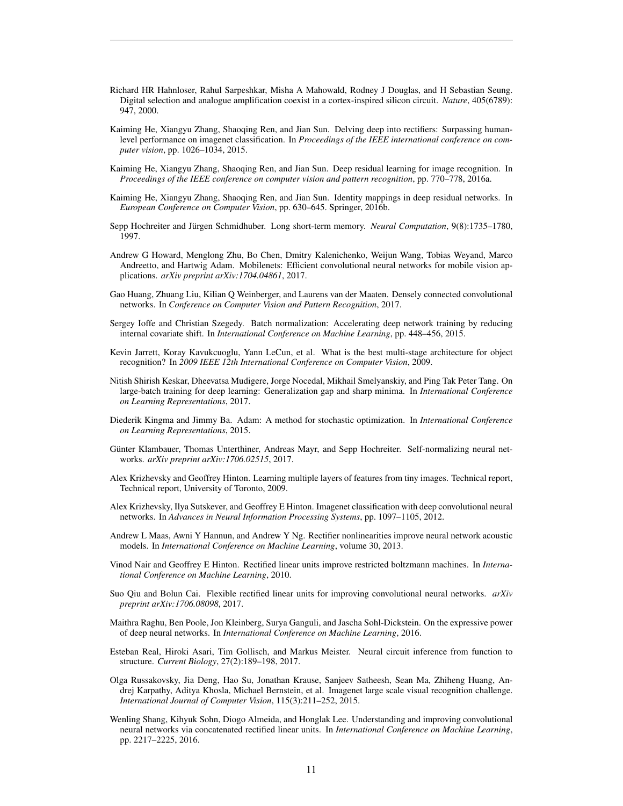- <span id="page-10-0"></span>Richard HR Hahnloser, Rahul Sarpeshkar, Misha A Mahowald, Rodney J Douglas, and H Sebastian Seung. Digital selection and analogue amplification coexist in a cortex-inspired silicon circuit. *Nature*, 405(6789): 947, 2000.
- <span id="page-10-5"></span>Kaiming He, Xiangyu Zhang, Shaoqing Ren, and Jian Sun. Delving deep into rectifiers: Surpassing humanlevel performance on imagenet classification. In *Proceedings of the IEEE international conference on computer vision*, pp. 1026–1034, 2015.
- <span id="page-10-9"></span>Kaiming He, Xiangyu Zhang, Shaoqing Ren, and Jian Sun. Deep residual learning for image recognition. In *Proceedings of the IEEE conference on computer vision and pattern recognition*, pp. 770–778, 2016a.
- <span id="page-10-12"></span>Kaiming He, Xiangyu Zhang, Shaoqing Ren, and Jian Sun. Identity mappings in deep residual networks. In *European Conference on Computer Vision*, pp. 630–645. Springer, 2016b.
- <span id="page-10-8"></span>Sepp Hochreiter and Jürgen Schmidhuber. Long short-term memory. *Neural Computation*, 9(8):1735–1780, 1997.
- <span id="page-10-15"></span>Andrew G Howard, Menglong Zhu, Bo Chen, Dmitry Kalenichenko, Weijun Wang, Tobias Weyand, Marco Andreetto, and Hartwig Adam. Mobilenets: Efficient convolutional neural networks for mobile vision applications. *arXiv preprint arXiv:1704.04861*, 2017.
- <span id="page-10-13"></span>Gao Huang, Zhuang Liu, Kilian Q Weinberger, and Laurens van der Maaten. Densely connected convolutional networks. In *Conference on Computer Vision and Pattern Recognition*, 2017.
- <span id="page-10-7"></span>Sergey Ioffe and Christian Szegedy. Batch normalization: Accelerating deep network training by reducing internal covariate shift. In *International Conference on Machine Learning*, pp. 448–456, 2015.
- <span id="page-10-1"></span>Kevin Jarrett, Koray Kavukcuoglu, Yann LeCun, et al. What is the best multi-stage architecture for object recognition? In *2009 IEEE 12th International Conference on Computer Vision*, 2009.
- <span id="page-10-11"></span>Nitish Shirish Keskar, Dheevatsa Mudigere, Jorge Nocedal, Mikhail Smelyanskiy, and Ping Tak Peter Tang. On large-batch training for deep learning: Generalization gap and sharp minima. In *International Conference on Learning Representations*, 2017.
- <span id="page-10-16"></span>Diederik Kingma and Jimmy Ba. Adam: A method for stochastic optimization. In *International Conference on Learning Representations*, 2015.
- <span id="page-10-6"></span>Günter Klambauer, Thomas Unterthiner, Andreas Mayr, and Sepp Hochreiter. Self-normalizing neural networks. *arXiv preprint arXiv:1706.02515*, 2017.
- <span id="page-10-10"></span>Alex Krizhevsky and Geoffrey Hinton. Learning multiple layers of features from tiny images. Technical report, Technical report, University of Toronto, 2009.
- <span id="page-10-3"></span>Alex Krizhevsky, Ilya Sutskever, and Geoffrey E Hinton. Imagenet classification with deep convolutional neural networks. In *Advances in Neural Information Processing Systems*, pp. 1097–1105, 2012.
- <span id="page-10-4"></span>Andrew L Maas, Awni Y Hannun, and Andrew Y Ng. Rectifier nonlinearities improve neural network acoustic models. In *International Conference on Machine Learning*, volume 30, 2013.
- <span id="page-10-2"></span>Vinod Nair and Geoffrey E Hinton. Rectified linear units improve restricted boltzmann machines. In *International Conference on Machine Learning*, 2010.
- <span id="page-10-18"></span>Suo Qiu and Bolun Cai. Flexible rectified linear units for improving convolutional neural networks. *arXiv preprint arXiv:1706.08098*, 2017.
- <span id="page-10-19"></span>Maithra Raghu, Ben Poole, Jon Kleinberg, Surya Ganguli, and Jascha Sohl-Dickstein. On the expressive power of deep neural networks. In *International Conference on Machine Learning*, 2016.
- <span id="page-10-20"></span>Esteban Real, Hiroki Asari, Tim Gollisch, and Markus Meister. Neural circuit inference from function to structure. *Current Biology*, 27(2):189–198, 2017.
- <span id="page-10-14"></span>Olga Russakovsky, Jia Deng, Hao Su, Jonathan Krause, Sanjeev Satheesh, Sean Ma, Zhiheng Huang, Andrej Karpathy, Aditya Khosla, Michael Bernstein, et al. Imagenet large scale visual recognition challenge. *International Journal of Computer Vision*, 115(3):211–252, 2015.
- <span id="page-10-17"></span>Wenling Shang, Kihyuk Sohn, Diogo Almeida, and Honglak Lee. Understanding and improving convolutional neural networks via concatenated rectified linear units. In *International Conference on Machine Learning*, pp. 2217–2225, 2016.